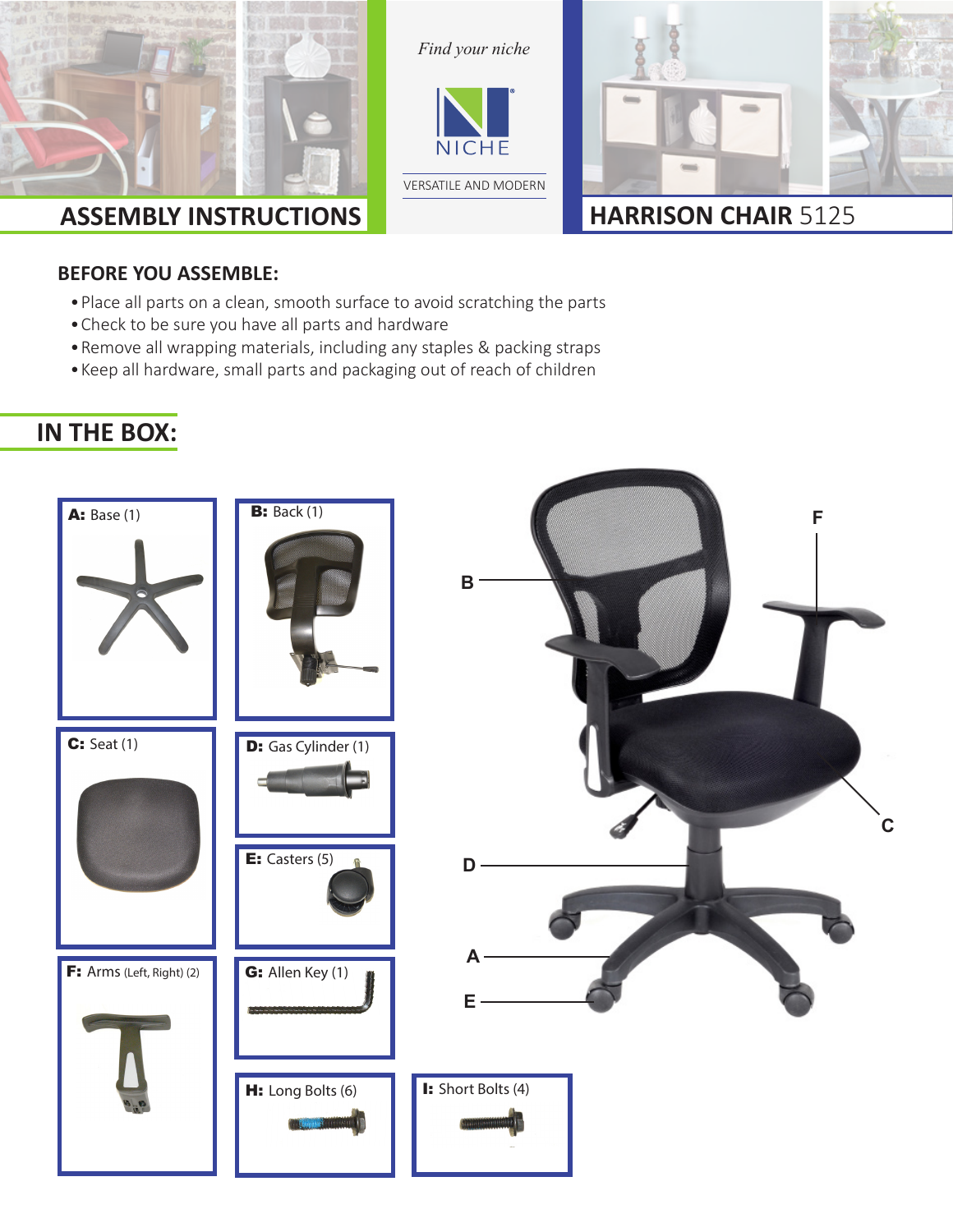

*Find your niche*





#### **BEFORE YOU ASSEMBLE:**

- • Place all parts on a clean, smooth surface to avoid scratching the parts
- • Check to be sure you have all parts and hardware
- • Remove all wrapping materials, including any staples & packing straps
- • Keep all hardware, small parts and packaging out of reach of children

#### **IN THE BOX:**